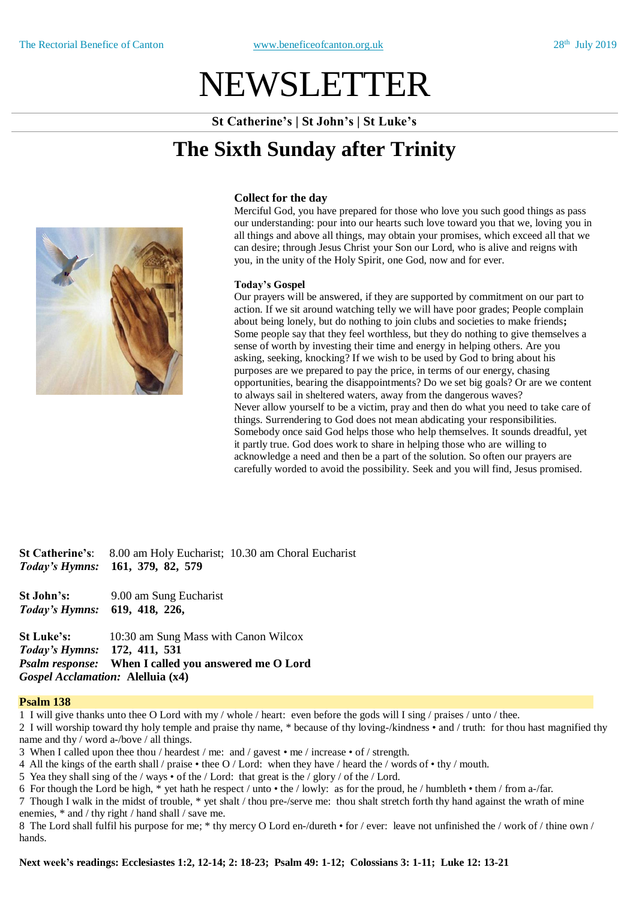# NEWSLETTER

**St Catherine's | St John's | St Luke's**

# **The Sixth Sunday after Trinity**



## **Collect for the day**

Merciful God, you have prepared for those who love you such good things as pass our understanding: pour into our hearts such love toward you that we, loving you in all things and above all things, may obtain your promises, which exceed all that we can desire; through Jesus Christ your Son our Lord, who is alive and reigns with you, in the unity of the Holy Spirit, one God, now and for ever.

#### **Today's Gospel**

Our prayers will be answered, if they are supported by commitment on our part to action. If we sit around watching telly we will have poor grades; People complain about being lonely, but do nothing to join clubs and societies to make friends**;** Some people say that they feel worthless, but they do nothing to give themselves a sense of worth by investing their time and energy in helping others. Are you asking, seeking, knocking? If we wish to be used by God to bring about his purposes are we prepared to pay the price, in terms of our energy, chasing opportunities, bearing the disappointments? Do we set big goals? Or are we content to always sail in sheltered waters, away from the dangerous waves? Never allow yourself to be a victim, pray and then do what you need to take care of things. Surrendering to God does not mean abdicating your responsibilities. Somebody once said God helps those who help themselves. It sounds dreadful, yet it partly true. God does work to share in helping those who are willing to acknowledge a need and then be a part of the solution. So often our prayers are carefully worded to avoid the possibility. Seek and you will find, Jesus promised.

**St Catherine's**: 8.00 am Holy Eucharist; 10.30 am Choral Eucharist *Today's Hymns:* **161, 379, 82, 579**

**St John's:** 9.00 am Sung Eucharist *Today's Hymns:* **619, 418, 226,** 

**St Luke's:** 10:30 am Sung Mass with Canon Wilcox *Today's Hymns:* **172, 411, 531** *Psalm response:* **When I called you answered me O Lord** *Gospel Acclamation:* **Alelluia (x4)**

#### **Psalm 138**

1 I will give thanks unto thee O Lord with my / whole / heart: even before the gods will I sing / praises / unto / thee.

2 I will worship toward thy holy temple and praise thy name, \* because of thy loving-/kindness • and / truth: for thou hast magnified thy name and thy / word a-/bove / all things.

3 When I called upon thee thou / heardest / me: and / gavest • me / increase • of / strength.

4 All the kings of the earth shall / praise • thee O / Lord: when they have / heard the / words of • thy / mouth.

5 Yea they shall sing of the / ways  $\cdot$  of the / Lord: that great is the / glory / of the / Lord.

6 For though the Lord be high, \* yet hath he respect / unto • the / lowly: as for the proud, he / humbleth • them / from a-/far.

7 Though I walk in the midst of trouble, \* yet shalt / thou pre-/serve me: thou shalt stretch forth thy hand against the wrath of mine enemies, \* and / thy right / hand shall / save me.

8 The Lord shall fulfil his purpose for me; \* thy mercy O Lord en-/dureth • for / ever: leave not unfinished the / work of / thine own / hands.